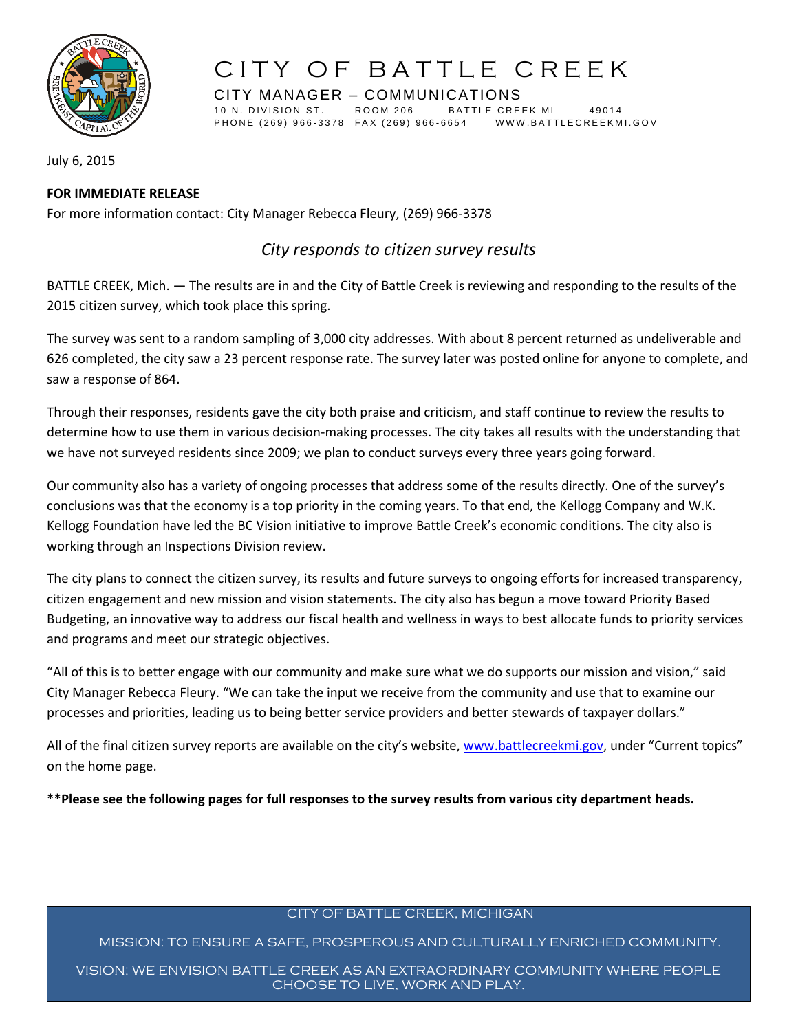

CITY MANAGER – COMMUNICATIONS 10 N. DIVISION ST. ROOM 206 BATTLE CREEK MI 49014 PHONE (269) 966-3378 FAX (269) 966-6654 WWW.BATTLECREEKMI.GOV

July 6, 2015

### **FOR IMMEDIATE RELEASE**

For more information contact: City Manager Rebecca Fleury, (269) 966-3378

## *City responds to citizen survey results*

BATTLE CREEK, Mich. — The results are in and the City of Battle Creek is reviewing and responding to the results of the 2015 citizen survey, which took place this spring.

The survey was sent to a random sampling of 3,000 city addresses. With about 8 percent returned as undeliverable and 626 completed, the city saw a 23 percent response rate. The survey later was posted online for anyone to complete, and saw a response of 864.

Through their responses, residents gave the city both praise and criticism, and staff continue to review the results to determine how to use them in various decision-making processes. The city takes all results with the understanding that we have not surveyed residents since 2009; we plan to conduct surveys every three years going forward.

Our community also has a variety of ongoing processes that address some of the results directly. One of the survey's conclusions was that the economy is a top priority in the coming years. To that end, the Kellogg Company and W.K. Kellogg Foundation have led the BC Vision initiative to improve Battle Creek's economic conditions. The city also is working through an Inspections Division review.

The city plans to connect the citizen survey, its results and future surveys to ongoing efforts for increased transparency, citizen engagement and new mission and vision statements. The city also has begun a move toward Priority Based Budgeting, an innovative way to address our fiscal health and wellness in ways to best allocate funds to priority services and programs and meet our strategic objectives.

"All of this is to better engage with our community and make sure what we do supports our mission and vision," said City Manager Rebecca Fleury. "We can take the input we receive from the community and use that to examine our processes and priorities, leading us to being better service providers and better stewards of taxpayer dollars."

All of the final citizen survey reports are available on the city's website, [www.battlecreekmi.gov](http://www.battlecreekmi.gov/), under "Current topics" on the home page.

**\*\*Please see the following pages for full responses to the survey results from various city department heads.**

### CITY OF BATTLE CREEK, MICHIGAN

MISSION: TO ENSURE A SAFE, PROSPEROUS AND CULTURALLY ENRICHED COMMUNITY.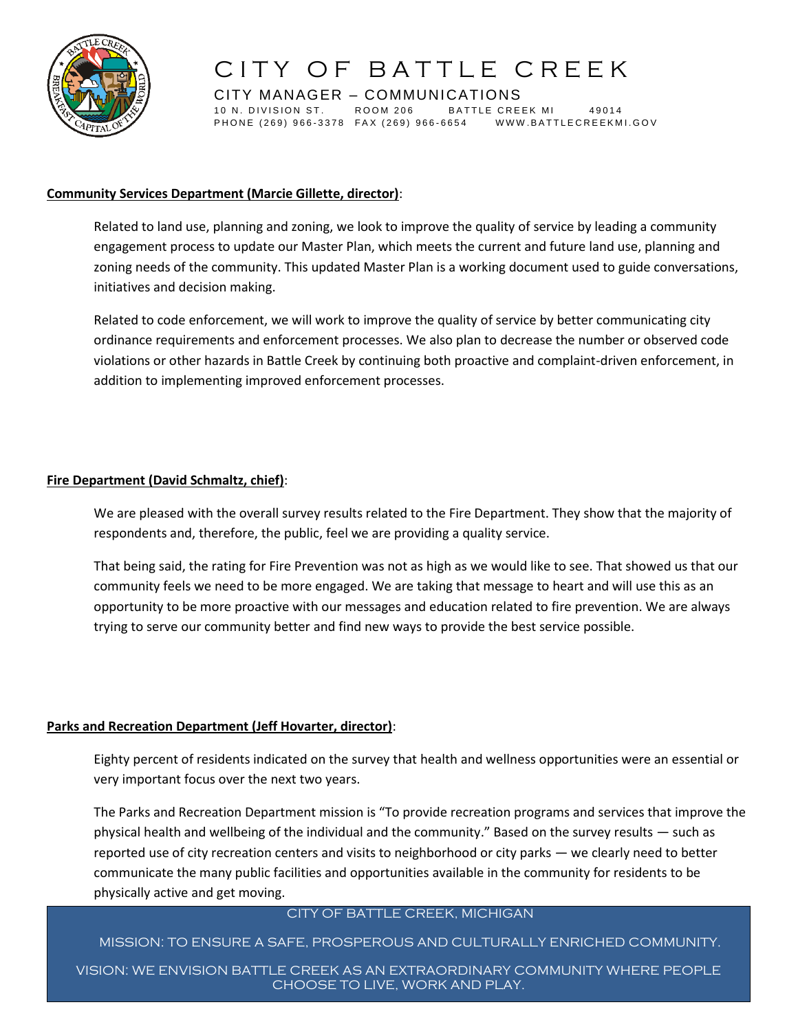

CITY MANAGER – COMMUNICATIONS 10 N. DIVISION ST. ROOM 206 BATTLE CREEK MI 49014 PHONE (269) 966-3378 FAX (269) 966-6654 WWW.BATTLECREEKMI.GOV

#### **Community Services Department (Marcie Gillette, director)**:

Related to land use, planning and zoning, we look to improve the quality of service by leading a community engagement process to update our Master Plan, which meets the current and future land use, planning and zoning needs of the community. This updated Master Plan is a working document used to guide conversations, initiatives and decision making.

Related to code enforcement, we will work to improve the quality of service by better communicating city ordinance requirements and enforcement processes. We also plan to decrease the number or observed code violations or other hazards in Battle Creek by continuing both proactive and complaint-driven enforcement, in addition to implementing improved enforcement processes.

#### **Fire Department (David Schmaltz, chief)**:

We are pleased with the overall survey results related to the Fire Department. They show that the majority of respondents and, therefore, the public, feel we are providing a quality service.

That being said, the rating for Fire Prevention was not as high as we would like to see. That showed us that our community feels we need to be more engaged. We are taking that message to heart and will use this as an opportunity to be more proactive with our messages and education related to fire prevention. We are always trying to serve our community better and find new ways to provide the best service possible.

### **Parks and Recreation Department (Jeff Hovarter, director)**:

Eighty percent of residents indicated on the survey that health and wellness opportunities were an essential or very important focus over the next two years.

The Parks and Recreation Department mission is "To provide recreation programs and services that improve the physical health and wellbeing of the individual and the community." Based on the survey results — such as reported use of city recreation centers and visits to neighborhood or city parks — we clearly need to better communicate the many public facilities and opportunities available in the community for residents to be physically active and get moving.

#### CITY OF BATTLE CREEK, MICHIGAN

### MISSION: TO ENSURE A SAFE, PROSPEROUS AND CULTURALLY ENRICHED COMMUNITY.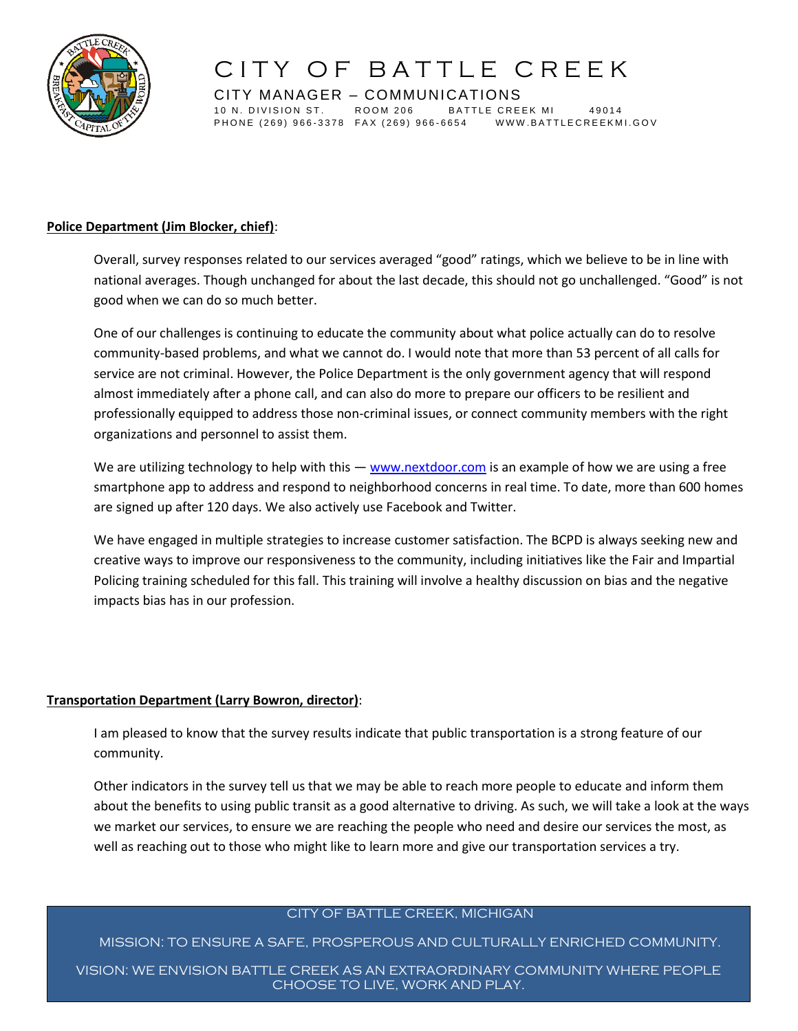

CITY MANAGER – COMMUNICATIONS 10 N. DIVISION ST. ROOM 206 BATTLE CREEK MI 49014 PHONE (269) 966-3378 FAX (269) 966-6654 WWW.BATTLECREEKMI.GOV

### **Police Department (Jim Blocker, chief)**:

Overall, survey responses related to our services averaged "good" ratings, which we believe to be in line with national averages. Though unchanged for about the last decade, this should not go unchallenged. "Good" is not good when we can do so much better.

One of our challenges is continuing to educate the community about what police actually can do to resolve community-based problems, and what we cannot do. I would note that more than 53 percent of all calls for service are not criminal. However, the Police Department is the only government agency that will respond almost immediately after a phone call, and can also do more to prepare our officers to be resilient and professionally equipped to address those non-criminal issues, or connect community members with the right organizations and personnel to assist them.

We are utilizing technology to help with this — [www.nextdoor.com](http://www.nextdoor.com/) is an example of how we are using a free smartphone app to address and respond to neighborhood concerns in real time. To date, more than 600 homes are signed up after 120 days. We also actively use Facebook and Twitter.

We have engaged in multiple strategies to increase customer satisfaction. The BCPD is always seeking new and creative ways to improve our responsiveness to the community, including initiatives like the Fair and Impartial Policing training scheduled for this fall. This training will involve a healthy discussion on bias and the negative impacts bias has in our profession.

### **Transportation Department (Larry Bowron, director)**:

I am pleased to know that the survey results indicate that public transportation is a strong feature of our community.

Other indicators in the survey tell us that we may be able to reach more people to educate and inform them about the benefits to using public transit as a good alternative to driving. As such, we will take a look at the ways we market our services, to ensure we are reaching the people who need and desire our services the most, as well as reaching out to those who might like to learn more and give our transportation services a try.

### CITY OF BATTLE CREEK, MICHIGAN

MISSION: TO ENSURE A SAFE, PROSPEROUS AND CULTURALLY ENRICHED COMMUNITY.